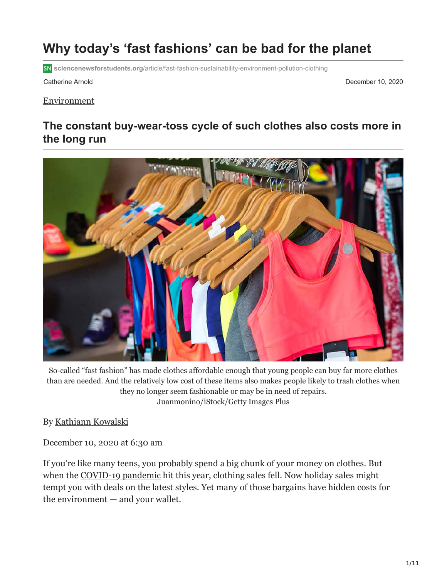# **Why today's 'fast fashions' can be bad for the planet**

**sciencenewsforstudents.org**[/article/fast-fashion-sustainability-environment-pollution-clothing](https://www.sciencenewsforstudents.org/article/fast-fashion-sustainability-environment-pollution-clothing)

Catherine Arnold December 10, 2020

#### [Environment](https://www.sciencenewsforstudents.org/topic/environment)

## **The constant buy-wear-toss cycle of such clothes also costs more in the long run**



So-called "fast fashion" has made clothes affordable enough that young people can buy far more clothes than are needed. And the relatively low cost of these items also makes people likely to trash clothes when they no longer seem fashionable or may be in need of repairs. Juanmonino/iStock/Getty Images Plus

By [Kathiann Kowalski](https://www.sciencenewsforstudents.org/author/kathiann-kowalski)

December 10, 2020 at 6:30 am

If you're like many teens, you probably spend a big chunk of your money on clothes. But when the [COVID-19 pandemic](https://www.sciencenewsforstudents.org/collections/coronavirus-outbreak) hit this year, clothing sales fell. Now holiday sales might tempt you with deals on the latest styles. Yet many of those bargains have hidden costs for the environment — and your wallet.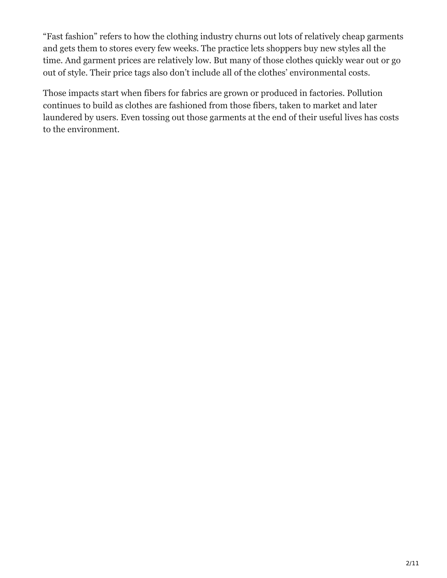"Fast fashion" refers to how the clothing industry churns out lots of relatively cheap garments and gets them to stores every few weeks. The practice lets shoppers buy new styles all the time. And garment prices are relatively low. But many of those clothes quickly wear out or go out of style. Their price tags also don't include all of the clothes' environmental costs.

Those impacts start when fibers for fabrics are grown or produced in factories. Pollution continues to build as clothes are fashioned from those fibers, taken to market and later laundered by users. Even tossing out those garments at the end of their useful lives has costs to the environment.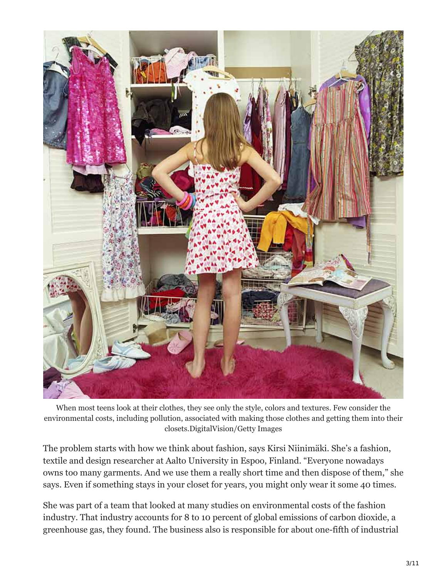

When most teens look at their clothes, they see only the style, colors and textures. Few consider the environmental costs, including pollution, associated with making those clothes and getting them into their closets.DigitalVision/Getty Images

The problem starts with how we think about fashion, says Kirsi Niinimäki. She's a fashion, textile and design researcher at Aalto University in Espoo, Finland. "Everyone nowadays owns too many garments. And we use them a really short time and then dispose of them," she says. Even if something stays in your closet for years, you might only wear it some 40 times.

She was part of a team that looked at many studies on environmental costs of the fashion industry. That industry accounts for 8 to 10 percent of global emissions of carbon dioxide, a greenhouse gas, they found. The business also is responsible for about one-fifth of industrial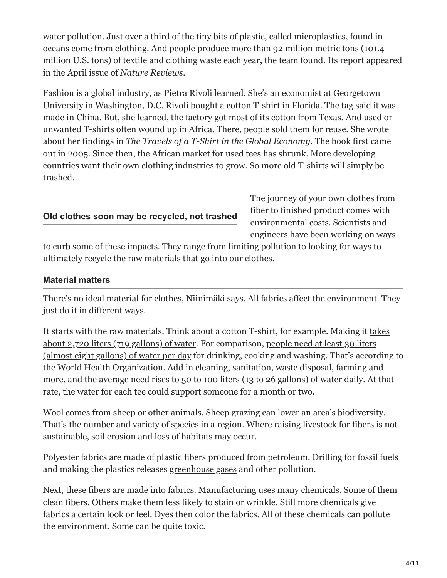water pollution. Just over a third of the tiny bits of [plastic,](https://www.sciencenewsforstudents.org/article/scientists-say-plastic) called microplastics, found in oceans come from clothing. And people produce more than 92 million metric tons (101.4 million U.S. tons) of textile and clothing waste each year, the team found. Its report appeared in the April issue of *Nature Reviews*.

Fashion is a global industry, as Pietra Rivoli learned. She's an economist at Georgetown University in Washington, D.C. Rivoli bought a cotton T-shirt in Florida. The tag said it was made in China. But, she learned, the factory got most of its cotton from Texas. And used or unwanted T-shirts often wound up in Africa. There, people sold them for reuse. She wrote about her findings in *The Travels of a T-Shirt in the Global Economy.* The book first came out in 2005. Since then, the African market for used tees has shrunk. More developing countries want their own clothing industries to grow. So more old T-shirts will simply be trashed.

#### **[Old clothes soon may be recycled, not trashed](https://www.sciencenewsforstudents.org/?p=177679)**

The journey of your own clothes from fiber to finished product comes with environmental costs. Scientists and engineers have been working on ways

to curb some of these impacts. They range from limiting pollution to looking for ways to ultimately recycle the raw materials that go into our clothes.

#### **Material matters**

There's no ideal material for clothes, Niinimäki says. All fabrics affect the environment. They just do it in different ways.

[It starts with the raw materials. Think about a cotton T-shirt, for example. Making it takes](https://www.sciencedirect.com/science/article/abs/pii/S0921800905005574) about 2,720 liters (719 gallons) of water. For comparison, people need at least 30 liters [\(almost eight gallons\) of water per day for drinking, cooking and washing. That's accord](https://www.who.int/water_sanitation_health/emergencies/WHO_TN_09_How_much_water_is_needed.pdf?ua=1)ing to the World Health Organization. Add in cleaning, sanitation, waste disposal, farming and more, and the average need rises to 50 to 100 liters (13 to 26 gallons) of water daily. At that rate, the water for each tee could support someone for a month or two.

Wool comes from sheep or other animals. Sheep grazing can lower an area's biodiversity. That's the number and variety of species in a region. Where raising livestock for fibers is not sustainable, soil erosion and loss of habitats may occur.

Polyester fabrics are made of plastic fibers produced from petroleum. Drilling for fossil fuels and making the plastics releases [greenhouse gases](https://www.sciencenewsforstudents.org/article/explainer-co2-and-other-greenhouse-gases) and other pollution.

Next, these fibers are made into fabrics. Manufacturing uses many [chemicals.](https://www.sciencenewsforstudents.org/article/scientists-say-chemical) Some of them clean fibers. Others make them less likely to stain or wrinkle. Still more chemicals give fabrics a certain look or feel. Dyes then color the fabrics. All of these chemicals can pollute the environment. Some can be quite toxic.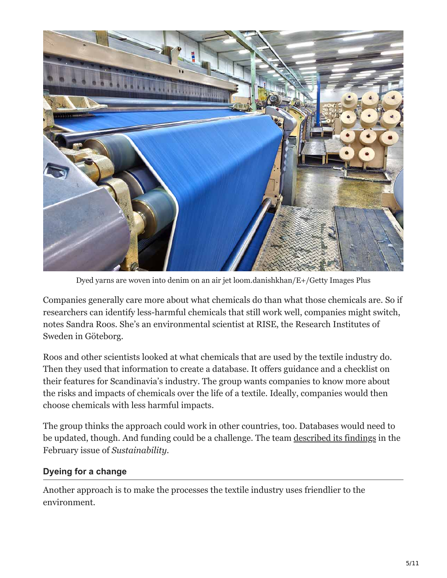

Dyed yarns are woven into denim on an air jet loom.danishkhan/E+/Getty Images Plus

Companies generally care more about what chemicals do than what those chemicals are. So if researchers can identify less-harmful chemicals that still work well, companies might switch, notes Sandra Roos. She's an environmental scientist at RISE, the Research Institutes of Sweden in Göteborg.

Roos and other scientists looked at what chemicals that are used by the textile industry do. Then they used that information to create a database. It offers guidance and a checklist on their features for Scandinavia's industry. The group wants companies to know more about the risks and impacts of chemicals over the life of a textile. Ideally, companies would then choose chemicals with less harmful impacts.

The group thinks the approach could work in other countries, too. Databases would need to be updated, though. And funding could be a challenge. The team [described its findings](https://www.mdpi.com/2071-1050/12/3/1273) in the February issue of *Sustainability*.

#### **Dyeing for a change**

Another approach is to make the processes the textile industry uses friendlier to the environment.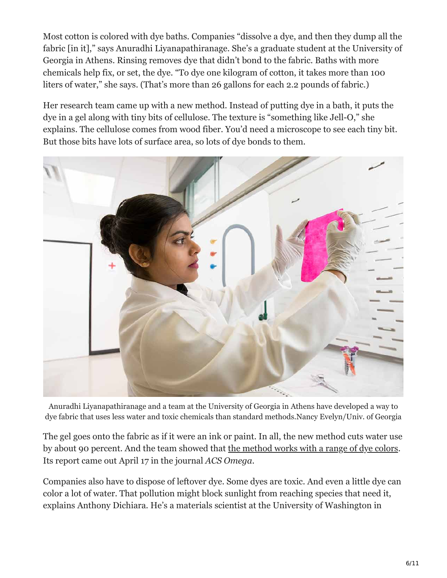Most cotton is colored with dye baths. Companies "dissolve a dye, and then they dump all the fabric [in it]," says Anuradhi Liyanapathiranage. She's a graduate student at the University of Georgia in Athens. Rinsing removes dye that didn't bond to the fabric. Baths with more chemicals help fix, or set, the dye. "To dye one kilogram of cotton, it takes more than 100 liters of water," she says. (That's more than 26 gallons for each 2.2 pounds of fabric.)

Her research team came up with a new method. Instead of putting dye in a bath, it puts the dye in a gel along with tiny bits of cellulose. The texture is "something like Jell-O," she explains. The cellulose comes from wood fiber. You'd need a microscope to see each tiny bit. But those bits have lots of surface area, so lots of dye bonds to them.



Anuradhi Liyanapathiranage and a team at the University of Georgia in Athens have developed a way to dye fabric that uses less water and toxic chemicals than standard methods.Nancy Evelyn/Univ. of Georgia

The gel goes onto the fabric as if it were an ink or paint. In all, the new method cuts water use by about 90 percent. And the team showed that [the method works with a range of dye colors](https://pubs.acs.org/doi/10.1021/acsomega.9b04498). Its report came out April 17 in the journal *ACS Omega*.

Companies also have to dispose of leftover dye. Some dyes are toxic. And even a little dye can color a lot of water. That pollution might block sunlight from reaching species that need it, explains Anthony Dichiara. He's a materials scientist at the University of Washington in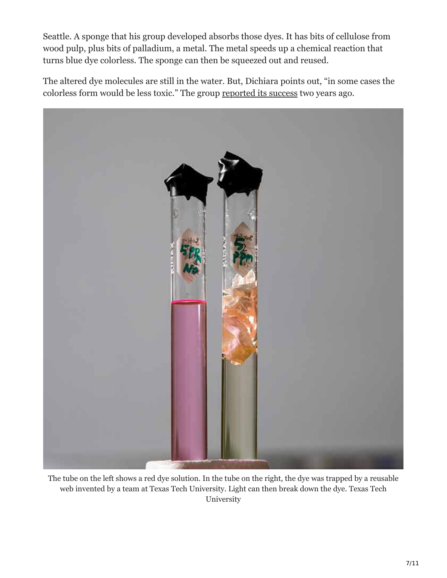Seattle. A sponge that his group developed absorbs those dyes. It has bits of cellulose from wood pulp, plus bits of palladium, a metal. The metal speeds up a chemical reaction that turns blue dye colorless. The sponge can then be squeezed out and reused.

The altered dye molecules are still in the water. But, Dichiara points out, "in some cases the colorless form would be less toxic." The group [reported its success](https://www.sciencedirect.com/science/article/abs/pii/S0926337318305289?via%3Dihub) two years ago.



The tube on the left shows a red dye solution. In the tube on the right, the dye was trapped by a reusable web invented by a team at Texas Tech University. Light can then break down the dye. Texas Tech University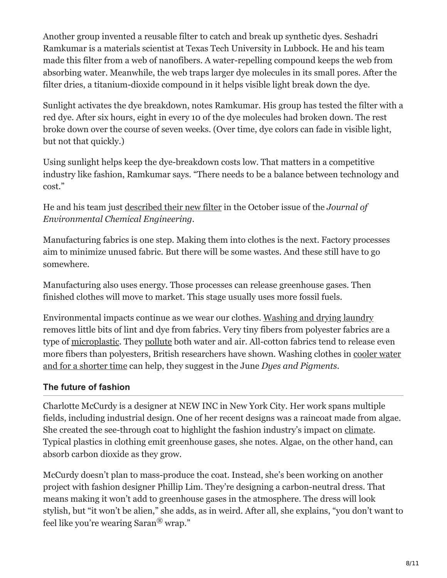Another group invented a reusable filter to catch and break up synthetic dyes. Seshadri Ramkumar is a materials scientist at Texas Tech University in Lubbock. He and his team made this filter from a web of nanofibers. A water-repelling compound keeps the web from absorbing water. Meanwhile, the web traps larger dye molecules in its small pores. After the filter dries, a titanium-dioxide compound in it helps visible light break down the dye.

Sunlight activates the dye breakdown, notes Ramkumar. His group has tested the filter with a red dye. After six hours, eight in every 10 of the dye molecules had broken down. The rest broke down over the course of seven weeks. (Over time, dye colors can fade in visible light, but not that quickly.)

Using sunlight helps keep the dye-breakdown costs low. That matters in a competitive industry like fashion, Ramkumar says. "There needs to be a balance between technology and cost."

He and his team just [described their new filter](https://www.sciencedirect.com/science/article/abs/pii/S2213343720302621) in the October issue of the *Journal of Environmental Chemical Engineering*.

Manufacturing fabrics is one step. Making them into clothes is the next. Factory processes aim to minimize unused fabric. But there will be some wastes. And these still have to go somewhere.

Manufacturing also uses energy. Those processes can release greenhouse gases. Then finished clothes will move to market. This stage usually uses more fossil fuels.

Environmental impacts continue as we wear our clothes. [Washing and drying laundry](https://www.sciencenewsforstudents.org/article/laundry-tweaks-less-pollution-longer-lasting-clothes) removes little bits of lint and dye from fabrics. Very tiny fibers from polyester fabrics are a type of [microplastic.](https://www.sciencenewsforstudents.org/article/help-for-a-world-drowning-in-microplastics) They [pollute](https://www.sciencenewsforstudents.org/article/help-for-a-world-drowning-in-microplastics) both water and air. All-cotton fabrics tend to release even [more fibers than polyesters, British researchers have shown. Washing clothes in cooler water](https://www.sciencenewsforstudents.org/article/laundry-tweaks-less-pollution-longer-lasting-clothes) and for a shorter time can help, they suggest in the June *Dyes and Pigments*.

#### **The future of fashion**

Charlotte McCurdy is a designer at NEW INC in New York City. Her work spans multiple fields, including industrial design. One of her recent designs was a raincoat made from algae. She created the see-through coat to highlight the fashion industry's impact on [climate.](https://www.sciencenewsforstudents.org/collections/climate-change-chronicles) Typical plastics in clothing emit greenhouse gases, she notes. Algae, on the other hand, can absorb carbon dioxide as they grow.

McCurdy doesn't plan to mass-produce the coat. Instead, she's been working on another project with fashion designer Phillip Lim. They're designing a carbon-neutral dress. That means making it won't add to greenhouse gases in the atmosphere. The dress will look stylish, but "it won't be alien," she adds, as in weird. After all, she explains, "you don't want to feel like you're wearing  $Saran^{\circledR}$  wrap."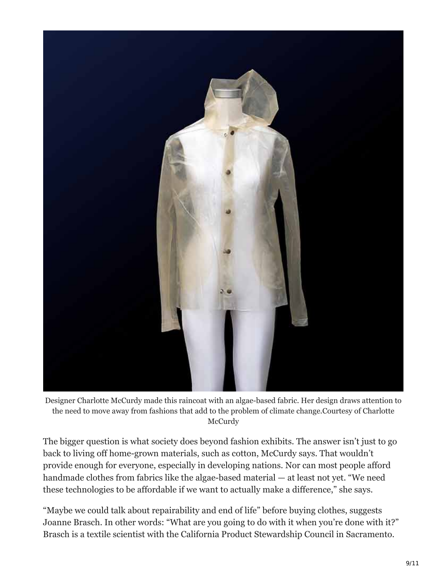

Designer Charlotte McCurdy made this raincoat with an algae-based fabric. Her design draws attention to the need to move away from fashions that add to the problem of climate change.Courtesy of Charlotte **McCurdy** 

The bigger question is what society does beyond fashion exhibits. The answer isn't just to go back to living off home-grown materials, such as cotton, McCurdy says. That wouldn't provide enough for everyone, especially in developing nations. Nor can most people afford handmade clothes from fabrics like the algae-based material — at least not yet. "We need these technologies to be affordable if we want to actually make a difference," she says.

"Maybe we could talk about repairability and end of life" before buying clothes, suggests Joanne Brasch. In other words: "What are you going to do with it when you're done with it?" Brasch is a textile scientist with the California Product Stewardship Council in Sacramento.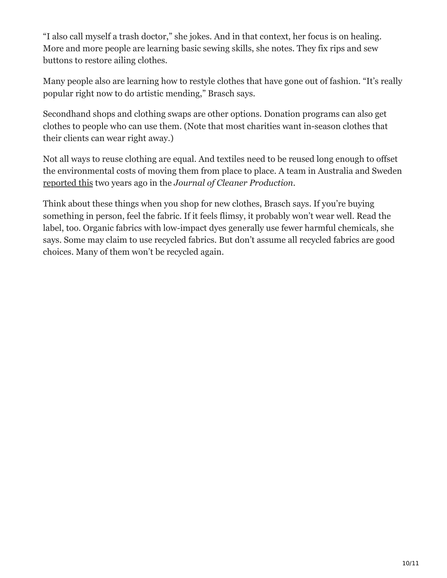"I also call myself a trash doctor," she jokes. And in that context, her focus is on healing. More and more people are learning basic sewing skills, she notes. They fix rips and sew buttons to restore ailing clothes.

Many people also are learning how to restyle clothes that have gone out of fashion. "It's really popular right now to do artistic mending," Brasch says.

Secondhand shops and clothing swaps are other options. Donation programs can also get clothes to people who can use them. (Note that most charities want in-season clothes that their clients can wear right away.)

Not all ways to reuse clothing are equal. And textiles need to be reused long enough to offset the environmental costs of moving them from place to place. A team in Australia and Sweden [reported this](https://www.sciencedirect.com/science/article/pii/S0959652618305985?dgcid=raven_sd_recommender_email) two years ago in the *Journal of Cleaner Production*.

Think about these things when you shop for new clothes, Brasch says. If you're buying something in person, feel the fabric. If it feels flimsy, it probably won't wear well. Read the label, too. Organic fabrics with low-impact dyes generally use fewer harmful chemicals, she says. Some may claim to use recycled fabrics. But don't assume all recycled fabrics are good choices. Many of them won't be recycled again.